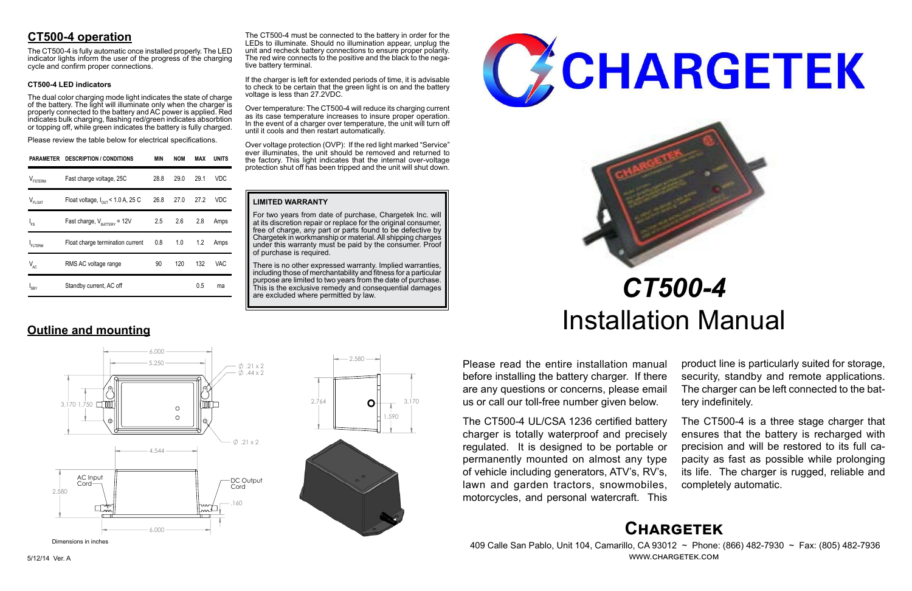# **Chargetek**

 409 Calle San Pablo, Unit 104, Camarillo, CA 93012 ~ Phone: (866) 482-7930 ~ Fax: (805) 482-7936 www.chargetek.com

# **CT500-4 operation**

The dual color charging mode light indicates the state of charge of the battery. The light will illuminate only when the charger is properly connected to the battery and AC power is applied. Red indicates bulk charging, flashing red/green indicates absorbtion or topping off, while green indicates the battery is fully charged.

The CT500-4 is fully automatic once installed properly. The LED indicator lights inform the user of the progress of the charging cycle and confirm proper connections.

### **CT500-4 LED indicators**

Please review the table below for electrical specifications.

Please read the entire installation manual before installing the battery charger. If there are any questions or concerns, please email us or call our toll-free number given below.

The CT500-4 UL/CSA 1236 certified battery charger is totally waterproof and precisely regulated. It is designed to be portable or permanently mounted on almost any type of vehicle including generators, ATV's, RV's, lawn and garden tractors, snowmobiles, motorcycles, and personal watercraft. This

There is no other expressed warranty. Implied warranties, including those of merchantability and fitness for a particular purpose are limited to two years from the date of purchase. This is the exclusive remedy and consequential damages are excluded where permitted by law.





product line is particularly suited for storage, security, standby and remote applications. The charger can be left connected to the battery indefinitely.

The CT500-4 must be connected to the battery in order for the LEDs to illuminate. Should no illumination appear, unplug the unit and recheck battery connections to ensure proper polarity. The red wire connects to the positive and the black to the nega-<br>tive battery terminal.

> The CT500-4 is a three stage charger that ensures that the battery is recharged with precision and will be restored to its full capacity as fast as possible while prolonging its life. The charger is rugged, reliable and completely automatic.

# *CT500-4* Installation Manual

|                     | PARAMETER DESCRIPTION / CONDITIONS            | <b>MIN</b> | <b>NOM</b> | MAX  | <b>UNITS</b> |
|---------------------|-----------------------------------------------|------------|------------|------|--------------|
| $V_{\text{FSTERM}}$ | Fast charge voltage, 25C                      | 28.8       | 29.0       | 29.1 | VDC          |
| $V_{FLOAT}$         | Float voltage, $I_{\text{out}}$ < 1.0 A, 25 C | 26.8       | 27.0       | 27.2 | VDC          |
| l <sub>FS</sub>     | Fast charge, $V_{\text{rATTARY}}$ = 12V       | 2.5        | 2.6        | 2.8  | Amps         |
| <b>FLTERM</b>       | Float charge termination current              | 0.8        | 1.0        | 1.2  | Amps         |
| $V_{AC}$            | RMS AC voltage range                          | 90         | 120        | 132  | VAC          |
| $I_{SBY}$           | Standby current, AC off                       |            |            | 0.5  | ma           |

**Outline and mounting**

#### **LIMITED WARRANTY**

For two years from date of purchase, Chargetek Inc. will at its discretion repair or replace for the original consumer, free of charge, any part or parts found to be defective by Chargetek in workmanship or material. All shipping charges under this warranty must be paid by the consumer. Proof of purchase is required.

If the charger is left for extended periods of time, it is advisable to check to be certain that the green light is on and the battery voltage is less than 27.2VDC.

Over temperature: The CT500-4 will reduce its charging current as its case temperature increases to insure proper operation. In the event of a charger over temperature, the unit will turn off until it cools and then restart automatically.

Over voltage protection (OVP): If the red light marked "Service" ever illuminates, the unit should be removed and returned to the factory. This light indicates that the internal over-voltage protection shut off has been tripped and the unit will shut down.